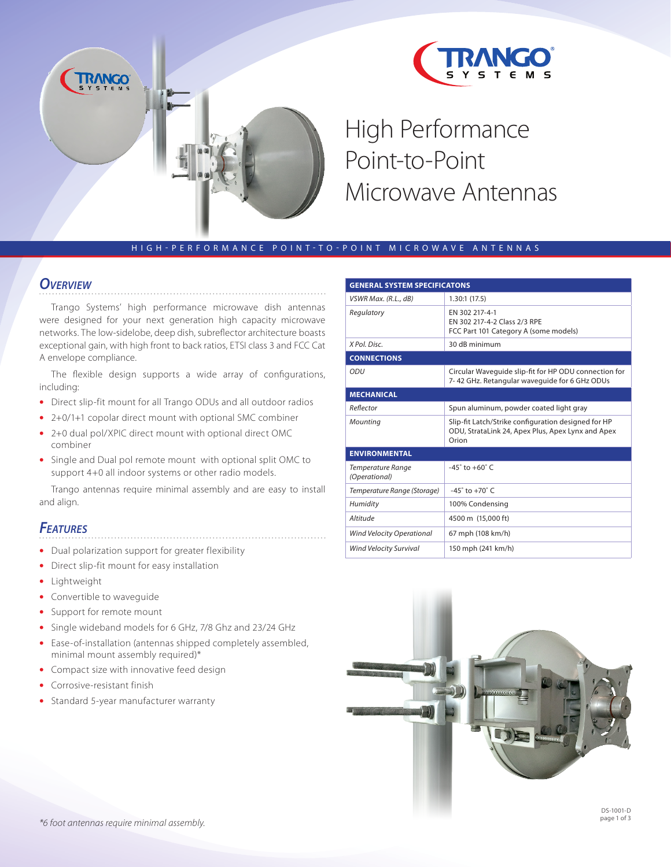

High Performance Point-to-Point Microwave Antennas

#### H I G H - P E R F O R M A N C E P O I N T - T O - P O I N T M I C R O W A V E A N T E N N A S

#### *Overview*

Trango Systems' high performance microwave dish antennas were designed for your next generation high capacity microwave networks. The low-sidelobe, deep dish, subreflector architecture boasts exceptional gain, with high front to back ratios, ETSI class 3 and FCC Cat A envelope compliance.

The flexible design supports a wide array of configurations, including:

- Direct slip-fit mount for all Trango ODUs and all outdoor radios
- 2+0/1+1 copolar direct mount with optional SMC combiner
- 2+0 dual pol/XPIC direct mount with optional direct OMC combiner
- Single and Dual pol remote mount with optional split OMC to support 4+0 all indoor systems or other radio models.

Trango antennas require minimal assembly and are easy to install and align.

#### *Features*

- Dual polarization support for greater flexibility
- Direct slip-fit mount for easy installation
- Lightweight
- Convertible to waveguide
- Support for remote mount
- Single wideband models for 6 GHz, 7/8 Ghz and 23/24 GHz
- Ease-of-installation (antennas shipped completely assembled, minimal mount assembly required)\*
- Compact size with innovative feed design •
- Corrosive-resistant finish •
- Standard 5-year manufacturer warranty

| <b>GENERAL SYSTEM SPECIFICATONS</b> |                                                                                                                   |  |  |  |  |  |
|-------------------------------------|-------------------------------------------------------------------------------------------------------------------|--|--|--|--|--|
| VSWR Max. (R.L., dB)                | 1.30:1(17.5)                                                                                                      |  |  |  |  |  |
| Regulatory                          | EN 302 217-4-1<br>EN 302 217-4-2 Class 2/3 RPE<br>FCC Part 101 Category A (some models)                           |  |  |  |  |  |
| X Pol. Disc.                        | 30 dB minimum                                                                                                     |  |  |  |  |  |
| <b>CONNECTIONS</b>                  |                                                                                                                   |  |  |  |  |  |
| ODU                                 | Circular Waveguide slip-fit for HP ODU connection for<br>7-42 GHz. Retangular waveguide for 6 GHz ODUs            |  |  |  |  |  |
| <b>MECHANICAL</b>                   |                                                                                                                   |  |  |  |  |  |
| Reflector                           | Spun aluminum, powder coated light gray                                                                           |  |  |  |  |  |
| Mounting                            | Slip-fit Latch/Strike configuration designed for HP<br>ODU, StrataLink 24, Apex Plus, Apex Lynx and Apex<br>Orion |  |  |  |  |  |
| <b>ENVIRONMENTAL</b>                |                                                                                                                   |  |  |  |  |  |
| Temperature Range<br>(Operational)  | $-45^{\circ}$ to $+60^{\circ}$ C                                                                                  |  |  |  |  |  |
| Temperature Range (Storage)         | $-45^\circ$ to $+70^\circ$ C                                                                                      |  |  |  |  |  |
| Humidity                            | 100% Condensing                                                                                                   |  |  |  |  |  |
| Altitude                            | 4500 m (15,000 ft)                                                                                                |  |  |  |  |  |
| <b>Wind Velocity Operational</b>    | 67 mph (108 km/h)                                                                                                 |  |  |  |  |  |
| <b>Wind Velocity Survival</b>       | 150 mph (241 km/h)                                                                                                |  |  |  |  |  |

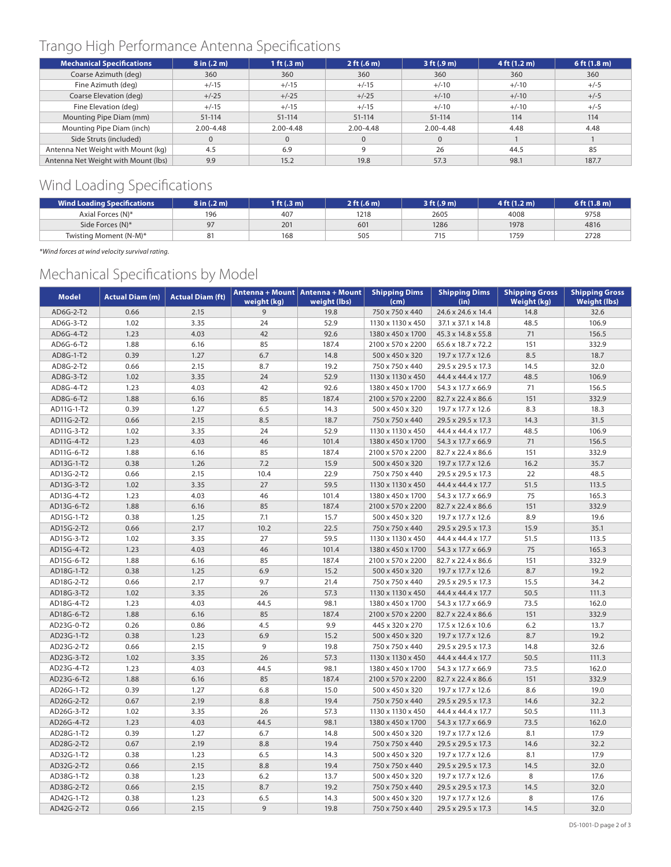# Trango High Performance Antenna Specifications

| <b>Mechanical Specifications</b>    | 8 in (.2 m)   | 1 ft $(.3 \, m)$ | 2 ft (.6 m)   | 3 ft (.9 m)   | 4 ft (1.2 m) | $6$ ft $(1.8 m)$ |
|-------------------------------------|---------------|------------------|---------------|---------------|--------------|------------------|
| Coarse Azimuth (deg)                | 360           | 360              | 360           | 360           | 360          | 360              |
| Fine Azimuth (deg)                  | $+/-15$       | $+/-15$          | $+/-15$       | $+/-10$       | $+/-10$      | $+/-5$           |
| Coarse Elevation (deg)              | $+/-25$       | $+/-25$          | $+/-25$       | $+/-10$       | $+/-10$      | $+/-5$           |
| Fine Elevation (deg)                | $+/-15$       | $+/-15$          | $+/-15$       | $+/-10$       | $+/-10$      | $+/-5$           |
| Mounting Pipe Diam (mm)             | $51 - 114$    | $51 - 114$       | $51 - 114$    | $51 - 114$    | 114          | 114              |
| Mounting Pipe Diam (inch)           | $2.00 - 4.48$ | $2.00 - 4.48$    | $2.00 - 4.48$ | $2.00 - 4.48$ | 4.48         | 4.48             |
| Side Struts (included)              | $\mathbf{0}$  | $\Omega$         |               | $\mathbf 0$   |              |                  |
| Antenna Net Weight with Mount (kg)  | 4.5           | 6.9              | a             | 26            | 44.5         | 85               |
| Antenna Net Weight with Mount (lbs) | 9.9           | 15.2             | 19.8          | 57.3          | 98.1         | 187.7            |

# Wind Loading Specifications

| <b>Wind Loading Specifications</b> | 8 in (.2 m) | 1 ft $(.3 \text{ m})$ | 2 ft (.6 m) | 3 ft (.9 m) | 4 ft (1.2 m) | 6 ft (1.8 m) |
|------------------------------------|-------------|-----------------------|-------------|-------------|--------------|--------------|
| Axial Forces (N)*                  | 196         | 407                   | 1218        | 2605        | 4008         | 9758         |
| Side Forces (N)*                   | 07          | 201                   | 601         | 1286        | 1978         | 4816         |
| Twisting Moment (N-M)*             |             | 168                   | 505         | 715         | 1759         | 2728         |

*\*Wind forces at wind velocity survival rating.*

# Mechanical Specifications by Model

| <b>Model</b> | <b>Actual Diam (m)</b> | <b>Actual Diam (ft)</b> | weight (kg) | Antenna + Mount   Antenna + Mount<br>weight (lbs) | <b>Shipping Dims</b><br>(cm) | <b>Shipping Dims</b><br>(in) | <b>Shipping Gross</b><br>Weight (kg) | <b>Shipping Gross</b><br><b>Weight (lbs)</b> |
|--------------|------------------------|-------------------------|-------------|---------------------------------------------------|------------------------------|------------------------------|--------------------------------------|----------------------------------------------|
| AD6G-2-T2    | 0.66                   | 2.15                    | 9           | 19.8                                              | 750 x 750 x 440              | 24.6 x 24.6 x 14.4           | 14.8                                 | 32.6                                         |
| AD6G-3-T2    | 1.02                   | 3.35                    | 24          | 52.9                                              | 1130 x 1130 x 450            | 37.1 x 37.1 x 14.8           | 48.5                                 | 106.9                                        |
| AD6G-4-T2    | 1.23                   | 4.03                    | 42          | 92.6                                              | 1380 x 450 x 1700            | 45.3 x 14.8 x 55.8           | 71                                   | 156.5                                        |
| AD6G-6-T2    | 1.88                   | 6.16                    | 85          | 187.4                                             | 2100 x 570 x 2200            | 65.6 x 18.7 x 72.2           | 151                                  | 332.9                                        |
| AD8G-1-T2    | 0.39                   | 1.27                    | 6.7         | 14.8                                              | 500 x 450 x 320              | 19.7 x 17.7 x 12.6           | 8.5                                  | 18.7                                         |
| AD8G-2-T2    | 0.66                   | 2.15                    | 8.7         | 19.2                                              | 750 x 750 x 440              | 29.5 x 29.5 x 17.3           | 14.5                                 | 32.0                                         |
| AD8G-3-T2    | 1.02                   | 3.35                    | 24          | 52.9                                              | 1130 x 1130 x 450            | 44.4 x 44.4 x 17.7           | 48.5                                 | 106.9                                        |
| AD8G-4-T2    | 1.23                   | 4.03                    | 42          | 92.6                                              | 1380 x 450 x 1700            | 54.3 x 17.7 x 66.9           | 71                                   | 156.5                                        |
| AD8G-6-T2    | 1.88                   | 6.16                    | 85          | 187.4                                             | 2100 x 570 x 2200            | 82.7 x 22.4 x 86.6           | 151                                  | 332.9                                        |
| AD11G-1-T2   | 0.39                   | 1.27                    | 6.5         | 14.3                                              | 500 x 450 x 320              | 19.7 x 17.7 x 12.6           | 8.3                                  | 18.3                                         |
| AD11G-2-T2   | 0.66                   | 2.15                    | 8.5         | 18.7                                              | 750 x 750 x 440              | 29.5 x 29.5 x 17.3           | 14.3                                 | 31.5                                         |
| AD11G-3-T2   | 1.02                   | 3.35                    | 24          | 52.9                                              | 1130 x 1130 x 450            | 44.4 x 44.4 x 17.7           | 48.5                                 | 106.9                                        |
| AD11G-4-T2   | 1.23                   | 4.03                    | 46          | 101.4                                             | 1380 x 450 x 1700            | 54.3 x 17.7 x 66.9           | 71                                   | 156.5                                        |
| AD11G-6-T2   | 1.88                   | 6.16                    | 85          | 187.4                                             | 2100 x 570 x 2200            | 82.7 x 22.4 x 86.6           | 151                                  | 332.9                                        |
| AD13G-1-T2   | 0.38                   | 1.26                    | 7.2         | 15.9                                              | 500 x 450 x 320              | 19.7 x 17.7 x 12.6           | 16.2                                 | 35.7                                         |
| AD13G-2-T2   | 0.66                   | 2.15                    | 10.4        | 22.9                                              | 750 x 750 x 440              | 29.5 x 29.5 x 17.3           | 22                                   | 48.5                                         |
| AD13G-3-T2   | 1.02                   | 3.35                    | 27          | 59.5                                              | 1130 x 1130 x 450            | 44.4 x 44.4 x 17.7           | 51.5                                 | 113.5                                        |
| AD13G-4-T2   | 1.23                   | 4.03                    | 46          | 101.4                                             | 1380 x 450 x 1700            | 54.3 x 17.7 x 66.9           | 75                                   | 165.3                                        |
| AD13G-6-T2   | 1.88                   | 6.16                    | 85          | 187.4                                             | 2100 x 570 x 2200            | 82.7 x 22.4 x 86.6           | 151                                  | 332.9                                        |
| AD15G-1-T2   | 0.38                   | 1.25                    | 7.1         | 15.7                                              | 500 x 450 x 320              | 19.7 x 17.7 x 12.6           | 8.9                                  | 19.6                                         |
| AD15G-2-T2   | 0.66                   | 2.17                    | 10.2        | 22.5                                              | 750 x 750 x 440              | 29.5 x 29.5 x 17.3           | 15.9                                 | 35.1                                         |
| AD15G-3-T2   | 1.02                   | 3.35                    | 27          | 59.5                                              | 1130 x 1130 x 450            | 44.4 x 44.4 x 17.7           | 51.5                                 | 113.5                                        |
| AD15G-4-T2   | 1.23                   | 4.03                    | 46          | 101.4                                             | 1380 x 450 x 1700            | 54.3 x 17.7 x 66.9           | 75                                   | 165.3                                        |
| AD15G-6-T2   | 1.88                   | 6.16                    | 85          | 187.4                                             | 2100 x 570 x 2200            | 82.7 x 22.4 x 86.6           | 151                                  | 332.9                                        |
| AD18G-1-T2   | 0.38                   | 1.25                    | 6.9         | 15.2                                              | 500 x 450 x 320              | 19.7 x 17.7 x 12.6           | 8.7                                  | 19.2                                         |
| AD18G-2-T2   | 0.66                   | 2.17                    | 9.7         | 21.4                                              | 750 x 750 x 440              | 29.5 x 29.5 x 17.3           | 15.5                                 | 34.2                                         |
| AD18G-3-T2   | 1.02                   | 3.35                    | 26          | 57.3                                              | 1130 x 1130 x 450            | 44.4 x 44.4 x 17.7           | 50.5                                 | 111.3                                        |
| AD18G-4-T2   | 1.23                   | 4.03                    | 44.5        | 98.1                                              | 1380 x 450 x 1700            | 54.3 x 17.7 x 66.9           | 73.5                                 | 162.0                                        |
| AD18G-6-T2   | 1.88                   | 6.16                    | 85          | 187.4                                             | 2100 x 570 x 2200            | 82.7 x 22.4 x 86.6           | 151                                  | 332.9                                        |
| AD23G-0-T2   | 0.26                   | 0.86                    | 4.5         | 9.9                                               | 445 x 320 x 270              | 17.5 x 12.6 x 10.6           | 6.2                                  | 13.7                                         |
| AD23G-1-T2   | 0.38                   | 1.23                    | 6.9         | 15.2                                              | 500 x 450 x 320              | 19.7 x 17.7 x 12.6           | 8.7                                  | 19.2                                         |
| AD23G-2-T2   | 0.66                   | 2.15                    | 9           | 19.8                                              | 750 x 750 x 440              | 29.5 x 29.5 x 17.3           | 14.8                                 | 32.6                                         |
| AD23G-3-T2   | 1.02                   | 3.35                    | 26          | 57.3                                              | 1130 x 1130 x 450            | 44.4 x 44.4 x 17.7           | 50.5                                 | 111.3                                        |
| AD23G-4-T2   | 1.23                   | 4.03                    | 44.5        | 98.1                                              | 1380 x 450 x 1700            | 54.3 x 17.7 x 66.9           | 73.5                                 | 162.0                                        |
| AD23G-6-T2   | 1.88                   | 6.16                    | 85          | 187.4                                             | 2100 x 570 x 2200            | 82.7 x 22.4 x 86.6           | 151                                  | 332.9                                        |
| AD26G-1-T2   | 0.39                   | 1.27                    | 6.8         | 15.0                                              | 500 x 450 x 320              | 19.7 x 17.7 x 12.6           | 8.6                                  | 19.0                                         |
| AD26G-2-T2   | 0.67                   | 2.19                    | 8.8         | 19.4                                              | 750 x 750 x 440              | 29.5 x 29.5 x 17.3           | 14.6                                 | 32.2                                         |
| AD26G-3-T2   | 1.02                   | 3.35                    | 26          | 57.3                                              | 1130 x 1130 x 450            | 44.4 x 44.4 x 17.7           | 50.5                                 | 111.3                                        |
| AD26G-4-T2   | 1.23                   | 4.03                    | 44.5        | 98.1                                              | 1380 x 450 x 1700            | 54.3 x 17.7 x 66.9           | 73.5                                 | 162.0                                        |
| AD28G-1-T2   | 0.39                   | 1.27                    | 6.7         | 14.8                                              | 500 x 450 x 320              | 19.7 x 17.7 x 12.6           | 8.1                                  | 17.9                                         |
| AD28G-2-T2   | 0.67                   | 2.19                    | 8.8         | 19.4                                              | 750 x 750 x 440              | 29.5 x 29.5 x 17.3           | 14.6                                 | 32.2                                         |
| AD32G-1-T2   | 0.38                   | 1.23                    | 6.5         | 14.3                                              | 500 x 450 x 320              | 19.7 x 17.7 x 12.6           | 8.1                                  | 17.9                                         |
| AD32G-2-T2   | 0.66                   | 2.15                    | 8.8         | 19.4                                              | 750 x 750 x 440              | 29.5 x 29.5 x 17.3           | 14.5                                 | 32.0                                         |
| AD38G-1-T2   | 0.38                   | 1.23                    | 6.2         | 13.7                                              | 500 x 450 x 320              | 19.7 x 17.7 x 12.6           | 8                                    | 17.6                                         |
| AD38G-2-T2   | 0.66                   | 2.15                    | 8.7         | 19.2                                              | 750 x 750 x 440              | 29.5 x 29.5 x 17.3           | 14.5                                 | 32.0                                         |
| AD42G-1-T2   | 0.38                   | 1.23                    | 6.5         | 14.3                                              | 500 x 450 x 320              | 19.7 x 17.7 x 12.6           | 8                                    | 17.6                                         |
| AD42G-2-T2   | 0.66                   | 2.15                    | 9           | 19.8                                              | 750 x 750 x 440              | 29.5 x 29.5 x 17.3           | 14.5                                 | 32.0                                         |